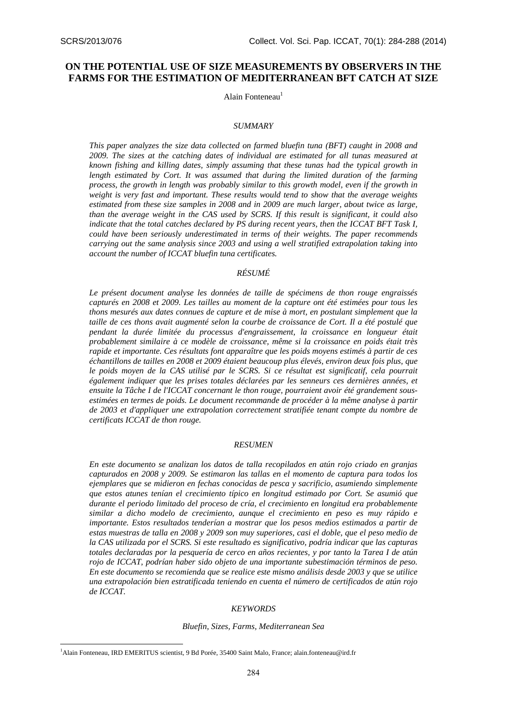# **ON THE POTENTIAL USE OF SIZE MEASUREMENTS BY OBSERVERS IN THE FARMS FOR THE ESTIMATION OF MEDITERRANEAN BFT CATCH AT SIZE**

Alain Fonteneau<sup>1</sup>

#### *SUMMARY*

*This paper analyzes the size data collected on farmed bluefin tuna (BFT) caught in 2008 and 2009. The sizes at the catching dates of individual are estimated for all tunas measured at known fishing and killing dates, simply assuming that these tunas had the typical growth in length estimated by Cort. It was assumed that during the limited duration of the farming process, the growth in length was probably similar to this growth model, even if the growth in weight is very fast and important. These results would tend to show that the average weights estimated from these size samples in 2008 and in 2009 are much larger, about twice as large, than the average weight in the CAS used by SCRS. If this result is significant, it could also indicate that the total catches declared by PS during recent years, then the ICCAT BFT Task I, could have been seriously underestimated in terms of their weights. The paper recommends carrying out the same analysis since 2003 and using a well stratified extrapolation taking into account the number of ICCAT bluefin tuna certificates.* 

## *RÉSUMÉ*

*Le présent document analyse les données de taille de spécimens de thon rouge engraissés capturés en 2008 et 2009. Les tailles au moment de la capture ont été estimées pour tous les thons mesurés aux dates connues de capture et de mise à mort, en postulant simplement que la taille de ces thons avait augmenté selon la courbe de croissance de Cort. Il a été postulé que pendant la durée limitée du processus d'engraissement, la croissance en longueur était probablement similaire à ce modèle de croissance, même si la croissance en poids était très rapide et importante. Ces résultats font apparaître que les poids moyens estimés à partir de ces échantillons de tailles en 2008 et 2009 étaient beaucoup plus élevés, environ deux fois plus, que*  le poids moyen de la CAS utilisé par le SCRS. Si ce résultat est significatif, cela pourrait *également indiquer que les prises totales déclarées par les senneurs ces dernières années, et ensuite la Tâche I de l'ICCAT concernant le thon rouge, pourraient avoir été grandement sousestimées en termes de poids. Le document recommande de procéder à la même analyse à partir de 2003 et d'appliquer une extrapolation correctement stratifiée tenant compte du nombre de certificats ICCAT de thon rouge.* 

### *RESUMEN*

*En este documento se analizan los datos de talla recopilados en atún rojo criado en granjas capturados en 2008 y 2009. Se estimaron las tallas en el momento de captura para todos los ejemplares que se midieron en fechas conocidas de pesca y sacrificio, asumiendo simplemente que estos atunes tenían el crecimiento típico en longitud estimado por Cort. Se asumió que durante el periodo limitado del proceso de cría, el crecimiento en longitud era probablemente similar a dicho modelo de crecimiento, aunque el crecimiento en peso es muy rápido e importante. Estos resultados tenderían a mostrar que los pesos medios estimados a partir de estas muestras de talla en 2008 y 2009 son muy superiores, casi el doble, que el peso medio de la CAS utilizada por el SCRS. Si este resultado es significativo, podría indicar que las capturas totales declaradas por la pesquería de cerco en años recientes, y por tanto la Tarea I de atún rojo de ICCAT, podrían haber sido objeto de una importante subestimación términos de peso. En este documento se recomienda que se realice este mismo análisis desde 2003 y que se utilice una extrapolación bien estratificada teniendo en cuenta el número de certificados de atún rojo de ICCAT.* 

#### *KEYWORDS*

#### *Bluefin, Sizes, Farms, Mediterranean Sea*

<u>.</u>

<sup>1</sup> Alain Fonteneau, IRD EMERITUS scientist, 9 Bd Porée, 35400 Saint Malo, France; alain.fonteneau@ird.fr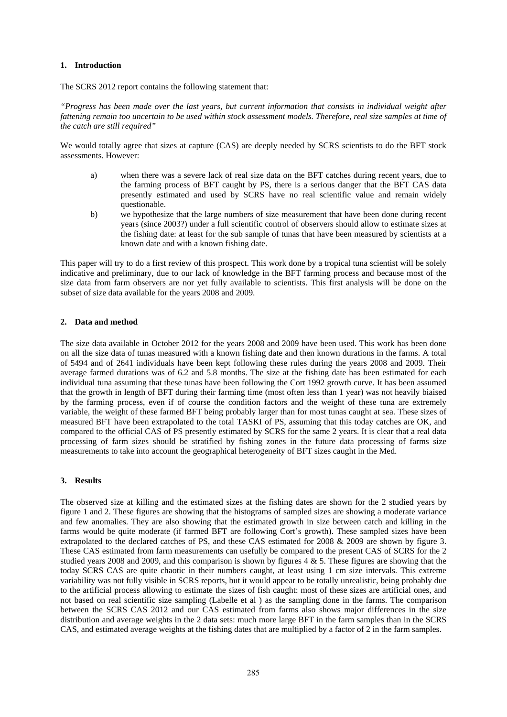## **1. Introduction**

The SCRS 2012 report contains the following statement that:

*"Progress has been made over the last years, but current information that consists in individual weight after fattening remain too uncertain to be used within stock assessment models. Therefore, real size samples at time of the catch are still required"* 

We would totally agree that sizes at capture (CAS) are deeply needed by SCRS scientists to do the BFT stock assessments. However:

- a) when there was a severe lack of real size data on the BFT catches during recent years, due to the farming process of BFT caught by PS, there is a serious danger that the BFT CAS data presently estimated and used by SCRS have no real scientific value and remain widely questionable.
- b) we hypothesize that the large numbers of size measurement that have been done during recent years (since 2003?) under a full scientific control of observers should allow to estimate sizes at the fishing date: at least for the sub sample of tunas that have been measured by scientists at a known date and with a known fishing date.

This paper will try to do a first review of this prospect. This work done by a tropical tuna scientist will be solely indicative and preliminary, due to our lack of knowledge in the BFT farming process and because most of the size data from farm observers are nor yet fully available to scientists. This first analysis will be done on the subset of size data available for the years 2008 and 2009.

## **2. Data and method**

The size data available in October 2012 for the years 2008 and 2009 have been used. This work has been done on all the size data of tunas measured with a known fishing date and then known durations in the farms. A total of 5494 and of 2641 individuals have been kept following these rules during the years 2008 and 2009. Their average farmed durations was of 6.2 and 5.8 months. The size at the fishing date has been estimated for each individual tuna assuming that these tunas have been following the Cort 1992 growth curve. It has been assumed that the growth in length of BFT during their farming time (most often less than 1 year) was not heavily biaised by the farming process, even if of course the condition factors and the weight of these tuna are extremely variable, the weight of these farmed BFT being probably larger than for most tunas caught at sea. These sizes of measured BFT have been extrapolated to the total TASKI of PS, assuming that this today catches are OK, and compared to the official CAS of PS presently estimated by SCRS for the same 2 years. It is clear that a real data processing of farm sizes should be stratified by fishing zones in the future data processing of farms size measurements to take into account the geographical heterogeneity of BFT sizes caught in the Med.

## **3. Results**

The observed size at killing and the estimated sizes at the fishing dates are shown for the 2 studied years by figure 1 and 2. These figures are showing that the histograms of sampled sizes are showing a moderate variance and few anomalies. They are also showing that the estimated growth in size between catch and killing in the farms would be quite moderate (if farmed BFT are following Cort's growth). These sampled sizes have been extrapolated to the declared catches of PS, and these CAS estimated for 2008 & 2009 are shown by figure 3. These CAS estimated from farm measurements can usefully be compared to the present CAS of SCRS for the 2 studied years 2008 and 2009, and this comparison is shown by figures 4 & 5. These figures are showing that the today SCRS CAS are quite chaotic in their numbers caught, at least using 1 cm size intervals. This extreme variability was not fully visible in SCRS reports, but it would appear to be totally unrealistic, being probably due to the artificial process allowing to estimate the sizes of fish caught: most of these sizes are artificial ones, and not based on real scientific size sampling (Labelle et al ) as the sampling done in the farms. The comparison between the SCRS CAS 2012 and our CAS estimated from farms also shows major differences in the size distribution and average weights in the 2 data sets: much more large BFT in the farm samples than in the SCRS CAS, and estimated average weights at the fishing dates that are multiplied by a factor of 2 in the farm samples.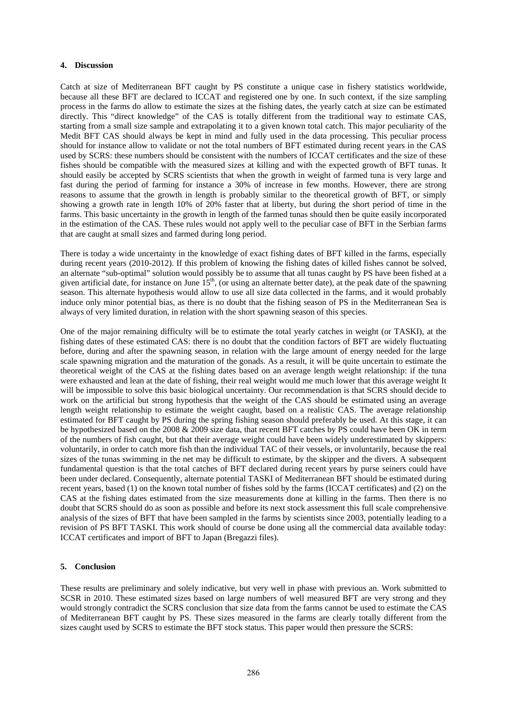### **4. Discussion**

Catch at size of Mediterranean BFT caught by PS constitute a unique case in fishery statistics worldwide, because all these BFT are declared to ICCAT and registered one by one. In such context, if the size sampling process in the farms do allow to estimate the sizes at the fishing dates, the yearly catch at size can be estimated directly. This "direct knowledge" of the CAS is totally different from the traditional way to estimate CAS, starting from a small size sample and extrapolating it to a given known total catch. This major peculiarity of the Medit BFT CAS should always be kept in mind and fully used in the data processing. This peculiar process should for instance allow to validate or not the total numbers of BFT estimated during recent years in the CAS used by SCRS: these numbers should be consistent with the numbers of ICCAT certificates and the size of these fishes should be compatible with the measured sizes at killing and with the expected growth of BFT tunas. It should easily be accepted by SCRS scientists that when the growth in weight of farmed tuna is very large and fast during the period of farming for instance a 30% of increase in few months. However, there are strong reasons to assume that the growth in length is probably similar to the theoretical growth of BFT, or simply showing a growth rate in length 10% of 20% faster that at liberty, but during the short period of time in the farms. This basic uncertainty in the growth in length of the farmed tunas should then be quite easily incorporated in the estimation of the CAS. These rules would not apply well to the peculiar case of BFT in the Serbian farms that are caught at small sizes and farmed during long period.

There is today a wide uncertainty in the knowledge of exact fishing dates of BFT killed in the farms, especially during recent years (2010-2012). If this problem of knowing the fishing dates of killed fishes cannot be solved, an alternate "sub-optimal" solution would possibly be to assume that all tunas caught by PS have been fished at a given artificial date, for instance on June  $15<sup>th</sup>$ , (or using an alternate better date), at the peak date of the spawning season. This alternate hypothesis would allow to use all size data collected in the farms, and it would probably induce only minor potential bias, as there is no doubt that the fishing season of PS in the Mediterranean Sea is always of very limited duration, in relation with the short spawning season of this species.

One of the major remaining difficulty will be to estimate the total yearly catches in weight (or TASKI), at the fishing dates of these estimated CAS: there is no doubt that the condition factors of BFT are widely fluctuating before, during and after the spawning season, in relation with the large amount of energy needed for the large scale spawning migration and the maturation of the gonads. As a result, it will be quite uncertain to estimate the theoretical weight of the CAS at the fishing dates based on an average length weight relationship: if the tuna were exhausted and lean at the date of fishing, their real weight would me much lower that this average weight It will be impossible to solve this basic biological uncertainty. Our recommendation is that SCRS should decide to work on the artificial but strong hypothesis that the weight of the CAS should be estimated using an average length weight relationship to estimate the weight caught, based on a realistic CAS. The average relationship estimated for BFT caught by PS during the spring fishing season should preferably be used. At this stage, it can be hypothesized based on the 2008 & 2009 size data, that recent BFT catches by PS could have been OK in term of the numbers of fish caught, but that their average weight could have been widely underestimated by skippers: voluntarily, in order to catch more fish than the individual TAC of their vessels, or involuntarily, because the real sizes of the tunas swimming in the net may be difficult to estimate, by the skipper and the divers. A subsequent fundamental question is that the total catches of BFT declared during recent years by purse seiners could have been under declared. Consequently, alternate potential TASKI of Mediterranean BFT should be estimated during recent years, based (1) on the known total number of fishes sold by the farms (ICCAT certificates) and (2) on the CAS at the fishing dates estimated from the size measurements done at killing in the farms. Then there is no doubt that SCRS should do as soon as possible and before its next stock assessment this full scale comprehensive analysis of the sizes of BFT that have been sampled in the farms by scientists since 2003, potentially leading to a revision of PS BFT TASKI. This work should of course be done using all the commercial data available today: ICCAT certificates and import of BFT to Japan (Bregazzi files).

## **5. Conclusion**

These results are preliminary and solely indicative, but very well in phase with previous an. Work submitted to SCSR in 2010. These estimated sizes based on large numbers of well measured BFT are very strong and they would strongly contradict the SCRS conclusion that size data from the farms cannot be used to estimate the CAS of Mediterranean BFT caught by PS. These sizes measured in the farms are clearly totally different from the sizes caught used by SCRS to estimate the BFT stock status. This paper would then pressure the SCRS: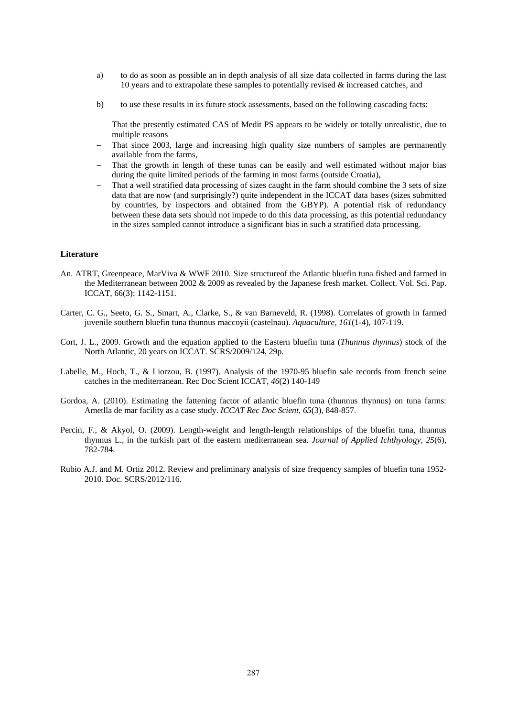- a) to do as soon as possible an in depth analysis of all size data collected in farms during the last 10 years and to extrapolate these samples to potentially revised  $\&$  increased catches, and
- b) to use these results in its future stock assessments, based on the following cascading facts:
- That the presently estimated CAS of Medit PS appears to be widely or totally unrealistic, due to multiple reasons
- That since 2003, large and increasing high quality size numbers of samples are permanently available from the farms,
- That the growth in length of these tunas can be easily and well estimated without major bias during the quite limited periods of the farming in most farms (outside Croatia),
- That a well stratified data processing of sizes caught in the farm should combine the 3 sets of size data that are now (and surprisingly?) quite independent in the ICCAT data bases (sizes submitted by countries, by inspectors and obtained from the GBYP). A potential risk of redundancy between these data sets should not impede to do this data processing, as this potential redundancy in the sizes sampled cannot introduce a significant bias in such a stratified data processing.

## **Literature**

- An. ATRT, Greenpeace, MarViva & WWF 2010. Size structureof the Atlantic bluefin tuna fished and farmed in the Mediterranean between 2002 & 2009 as revealed by the Japanese fresh market. Collect. Vol. Sci. Pap. ICCAT, 66(3): 1142-1151.
- Carter, C. G., Seeto, G. S., Smart, A., Clarke, S., & van Barneveld, R. (1998). Correlates of growth in farmed juvenile southern bluefin tuna thunnus maccoyii (castelnau). *Aquaculture, 161*(1-4), 107-119.
- Cort, J. L., 2009. Growth and the equation applied to the Eastern bluefin tuna (*Thunnus thynnus*) stock of the North Atlantic, 20 years on ICCAT. SCRS/2009/124, 29p.
- Labelle, M., Hoch, T., & Liorzou, B. (1997). Analysis of the 1970-95 bluefin sale records from french seine catches in the mediterranean. Rec Doc Scient ICCAT*, 46*(2) 140-149
- Gordoa, A. (2010). Estimating the fattening factor of atlantic bluefin tuna (thunnus thynnus) on tuna farms: Ametlla de mar facility as a case study. *ICCAT Rec Doc Scient, 65*(3), 848-857.
- Percin, F., & Akyol, O. (2009). Length-weight and length-length relationships of the bluefin tuna, thunnus thynnus L., in the turkish part of the eastern mediterranean sea. *Journal of Applied Ichthyology, 25*(6), 782-784.
- Rubio A.J. and M. Ortiz 2012. Review and preliminary analysis of size frequency samples of bluefin tuna 1952- 2010. Doc. SCRS/2012/116.